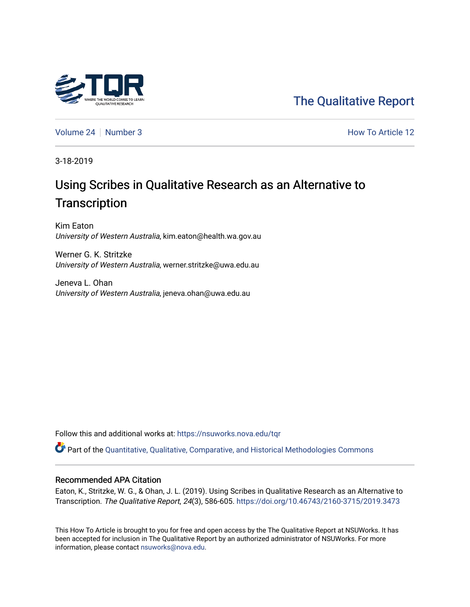

[The Qualitative Report](https://nsuworks.nova.edu/tqr) 

[Volume 24](https://nsuworks.nova.edu/tqr/vol24) | [Number 3](https://nsuworks.nova.edu/tqr/vol24/iss3) How To Article 12

3-18-2019

# Using Scribes in Qualitative Research as an Alternative to **Transcription**

Kim Eaton University of Western Australia, kim.eaton@health.wa.gov.au

Werner G. K. Stritzke University of Western Australia, werner.stritzke@uwa.edu.au

Jeneva L. Ohan University of Western Australia, jeneva.ohan@uwa.edu.au

Follow this and additional works at: [https://nsuworks.nova.edu/tqr](https://nsuworks.nova.edu/tqr?utm_source=nsuworks.nova.edu%2Ftqr%2Fvol24%2Fiss3%2F12&utm_medium=PDF&utm_campaign=PDFCoverPages) 

Part of the [Quantitative, Qualitative, Comparative, and Historical Methodologies Commons](http://network.bepress.com/hgg/discipline/423?utm_source=nsuworks.nova.edu%2Ftqr%2Fvol24%2Fiss3%2F12&utm_medium=PDF&utm_campaign=PDFCoverPages) 

#### Recommended APA Citation

Eaton, K., Stritzke, W. G., & Ohan, J. L. (2019). Using Scribes in Qualitative Research as an Alternative to Transcription. The Qualitative Report, 24(3), 586-605.<https://doi.org/10.46743/2160-3715/2019.3473>

This How To Article is brought to you for free and open access by the The Qualitative Report at NSUWorks. It has been accepted for inclusion in The Qualitative Report by an authorized administrator of NSUWorks. For more information, please contact [nsuworks@nova.edu.](mailto:nsuworks@nova.edu)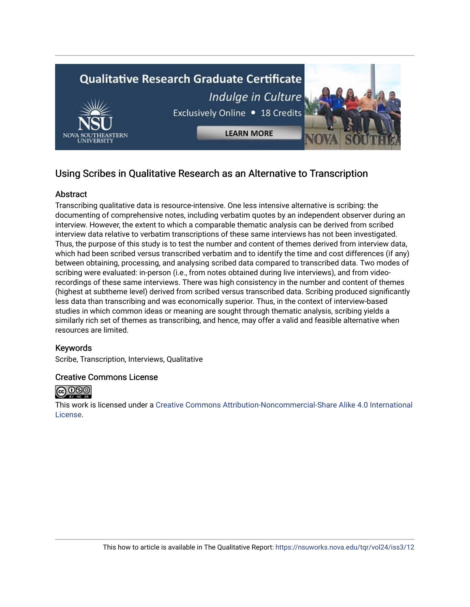

# Using Scribes in Qualitative Research as an Alternative to Transcription

## Abstract

Transcribing qualitative data is resource-intensive. One less intensive alternative is scribing: the documenting of comprehensive notes, including verbatim quotes by an independent observer during an interview. However, the extent to which a comparable thematic analysis can be derived from scribed interview data relative to verbatim transcriptions of these same interviews has not been investigated. Thus, the purpose of this study is to test the number and content of themes derived from interview data, which had been scribed versus transcribed verbatim and to identify the time and cost differences (if any) between obtaining, processing, and analysing scribed data compared to transcribed data. Two modes of scribing were evaluated: in-person (i.e., from notes obtained during live interviews), and from videorecordings of these same interviews. There was high consistency in the number and content of themes (highest at subtheme level) derived from scribed versus transcribed data. Scribing produced significantly less data than transcribing and was economically superior. Thus, in the context of interview-based studies in which common ideas or meaning are sought through thematic analysis, scribing yields a similarly rich set of themes as transcribing, and hence, may offer a valid and feasible alternative when resources are limited.

### Keywords

Scribe, Transcription, Interviews, Qualitative

### Creative Commons License



This work is licensed under a [Creative Commons Attribution-Noncommercial-Share Alike 4.0 International](https://creativecommons.org/licenses/by-nc-sa/4.0/)  [License](https://creativecommons.org/licenses/by-nc-sa/4.0/).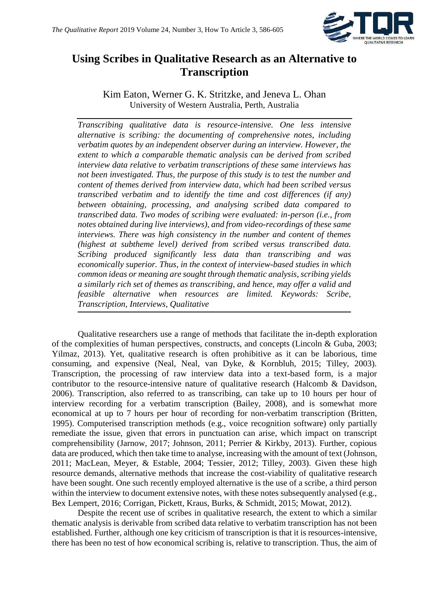

# **Using Scribes in Qualitative Research as an Alternative to Transcription**

Kim Eaton, Werner G. K. Stritzke, and Jeneva L. Ohan University of Western Australia, Perth, Australia

*Transcribing qualitative data is resource-intensive. One less intensive alternative is scribing: the documenting of comprehensive notes, including verbatim quotes by an independent observer during an interview. However, the extent to which a comparable thematic analysis can be derived from scribed interview data relative to verbatim transcriptions of these same interviews has not been investigated. Thus, the purpose of this study is to test the number and content of themes derived from interview data, which had been scribed versus transcribed verbatim and to identify the time and cost differences (if any) between obtaining, processing, and analysing scribed data compared to transcribed data. Two modes of scribing were evaluated: in-person (i.e., from notes obtained during live interviews), and from video-recordings of these same interviews. There was high consistency in the number and content of themes (highest at subtheme level) derived from scribed versus transcribed data. Scribing produced significantly less data than transcribing and was economically superior. Thus, in the context of interview-based studies in which common ideas or meaning are sought through thematic analysis, scribing yields a similarly rich set of themes as transcribing, and hence, may offer a valid and feasible alternative when resources are limited. Keywords: Scribe, Transcription, Interviews, Qualitative*

Qualitative researchers use a range of methods that facilitate the in-depth exploration of the complexities of human perspectives, constructs, and concepts (Lincoln & Guba, 2003; Yilmaz, 2013). Yet, qualitative research is often prohibitive as it can be laborious, time consuming, and expensive (Neal, Neal, van Dyke, & Kornbluh, 2015; Tilley, 2003). Transcription, the processing of raw interview data into a text-based form, is a major contributor to the resource-intensive nature of qualitative research (Halcomb & Davidson, 2006). Transcription, also referred to as transcribing, can take up to 10 hours per hour of interview recording for a verbatim transcription (Bailey, 2008), and is somewhat more economical at up to 7 hours per hour of recording for non-verbatim transcription (Britten, 1995). Computerised transcription methods (e.g., voice recognition software) only partially remediate the issue, given that errors in punctuation can arise, which impact on transcript comprehensibility (Jarnow, 2017; Johnson, 2011; Perrier & Kirkby, 2013). Further, copious data are produced, which then take time to analyse, increasing with the amount of text (Johnson, 2011; MacLean, Meyer, & Estable, 2004; Tessier, 2012; Tilley, 2003). Given these high resource demands, alternative methods that increase the cost-viability of qualitative research have been sought. One such recently employed alternative is the use of a scribe, a third person within the interview to document extensive notes, with these notes subsequently analysed (e.g., Bex Lempert, 2016; Corrigan, Pickett, Kraus, Burks, & Schmidt, 2015; Mowat, 2012).

Despite the recent use of scribes in qualitative research, the extent to which a similar thematic analysis is derivable from scribed data relative to verbatim transcription has not been established. Further, although one key criticism of transcription is that it is resources-intensive, there has been no test of how economical scribing is, relative to transcription. Thus, the aim of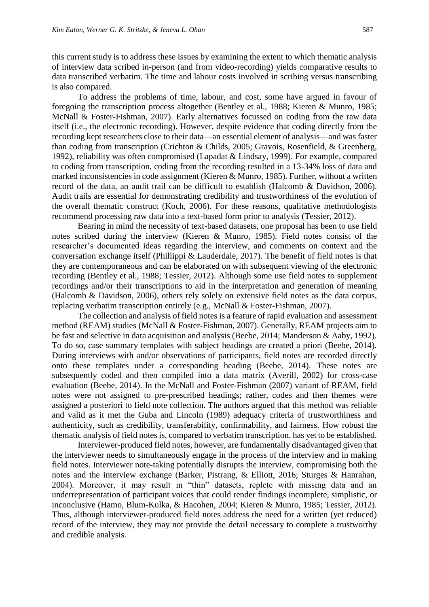this current study is to address these issues by examining the extent to which thematic analysis of interview data scribed in-person (and from video-recording) yields comparative results to data transcribed verbatim. The time and labour costs involved in scribing versus transcribing is also compared.

To address the problems of time, labour, and cost, some have argued in favour of foregoing the transcription process altogether (Bentley et al., 1988; Kieren & Munro, 1985; McNall & Foster-Fishman, 2007). Early alternatives focussed on coding from the raw data itself (i.e., the electronic recording). However, despite evidence that coding directly from the recording kept researchers close to their data—an essential element of analysis—and was faster than coding from transcription (Crichton & Childs, 2005; Gravois, Rosenfield, & Greenberg, 1992), reliability was often compromised (Lapadat & Lindsay, 1999). For example, compared to coding from transcription, coding from the recording resulted in a 13-34% loss of data and marked inconsistencies in code assignment (Kieren & Munro, 1985). Further, without a written record of the data, an audit trail can be difficult to establish (Halcomb & Davidson, 2006). Audit trails are essential for demonstrating credibility and trustworthiness of the evolution of the overall thematic construct (Koch, 2006). For these reasons, qualitative methodologists recommend processing raw data into a text-based form prior to analysis (Tessier, 2012).

Bearing in mind the necessity of text-based datasets, one proposal has been to use field notes scribed during the interview (Kieren & Munro, 1985). Field notes consist of the researcher's documented ideas regarding the interview, and comments on context and the conversation exchange itself (Phillippi & Lauderdale, 2017). The benefit of field notes is that they are contemporaneous and can be elaborated on with subsequent viewing of the electronic recording (Bentley et al., 1988; Tessier, 2012). Although some use field notes to supplement recordings and/or their transcriptions to aid in the interpretation and generation of meaning (Halcomb & Davidson, 2006), others rely solely on extensive field notes as the data corpus, replacing verbatim transcription entirely (e.g., McNall & Foster-Fishman, 2007).

The collection and analysis of field notes is a feature of rapid evaluation and assessment method (REAM) studies (McNall & Foster-Fishman, 2007). Generally, REAM projects aim to be fast and selective in data acquisition and analysis (Beebe, 2014; Manderson & Aaby, 1992). To do so, case summary templates with subject headings are created a priori (Beebe, 2014). During interviews with and/or observations of participants, field notes are recorded directly onto these templates under a corresponding heading (Beebe, 2014). These notes are subsequently coded and then compiled into a data matrix (Averill, 2002) for cross-case evaluation (Beebe, 2014). In the McNall and Foster-Fishman (2007) variant of REAM, field notes were not assigned to pre-prescribed headings; rather, codes and then themes were assigned a posteriori to field note collection. The authors argued that this method was reliable and valid as it met the Guba and Lincoln (1989) adequacy criteria of trustworthiness and authenticity, such as credibility, transferability, confirmability, and fairness. How robust the thematic analysis of field notes is, compared to verbatim transcription, has yet to be established.

Interviewer-produced field notes, however, are fundamentally disadvantaged given that the interviewer needs to simultaneously engage in the process of the interview and in making field notes. Interviewer note-taking potentially disrupts the interview, compromising both the notes and the interview exchange (Barker, Pistrang, & Elliott, 2016; Sturges & Hanrahan, 2004). Moreover, it may result in "thin" datasets, replete with missing data and an underrepresentation of participant voices that could render findings incomplete, simplistic, or inconclusive (Hamo, Blum-Kulka, & Hacohen, 2004; Kieren & Munro, 1985; Tessier, 2012). Thus, although interviewer-produced field notes address the need for a written (yet reduced) record of the interview, they may not provide the detail necessary to complete a trustworthy and credible analysis.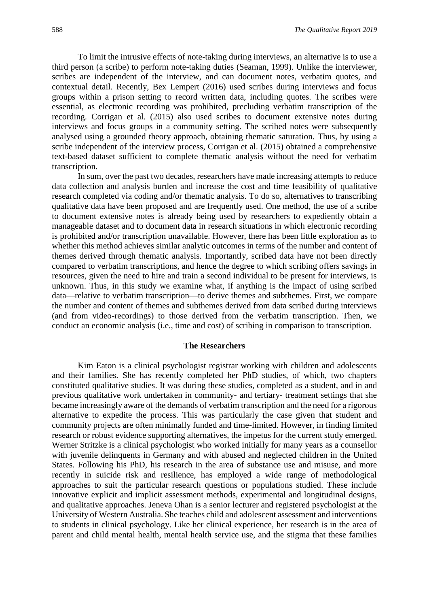To limit the intrusive effects of note-taking during interviews, an alternative is to use a third person (a scribe) to perform note-taking duties (Seaman, 1999). Unlike the interviewer, scribes are independent of the interview, and can document notes, verbatim quotes, and contextual detail. Recently, Bex Lempert (2016) used scribes during interviews and focus groups within a prison setting to record written data, including quotes. The scribes were essential, as electronic recording was prohibited, precluding verbatim transcription of the recording. Corrigan et al. (2015) also used scribes to document extensive notes during interviews and focus groups in a community setting. The scribed notes were subsequently analysed using a grounded theory approach, obtaining thematic saturation. Thus, by using a scribe independent of the interview process, Corrigan et al. (2015) obtained a comprehensive text-based dataset sufficient to complete thematic analysis without the need for verbatim transcription.

In sum, over the past two decades, researchers have made increasing attempts to reduce data collection and analysis burden and increase the cost and time feasibility of qualitative research completed via coding and/or thematic analysis. To do so, alternatives to transcribing qualitative data have been proposed and are frequently used. One method, the use of a scribe to document extensive notes is already being used by researchers to expediently obtain a manageable dataset and to document data in research situations in which electronic recording is prohibited and/or transcription unavailable. However, there has been little exploration as to whether this method achieves similar analytic outcomes in terms of the number and content of themes derived through thematic analysis. Importantly, scribed data have not been directly compared to verbatim transcriptions, and hence the degree to which scribing offers savings in resources, given the need to hire and train a second individual to be present for interviews, is unknown. Thus, in this study we examine what, if anything is the impact of using scribed data—relative to verbatim transcription—to derive themes and subthemes. First, we compare the number and content of themes and subthemes derived from data scribed during interviews (and from video-recordings) to those derived from the verbatim transcription. Then, we conduct an economic analysis (i.e., time and cost) of scribing in comparison to transcription.

#### **The Researchers**

Kim Eaton is a clinical psychologist registrar working with children and adolescents and their families. She has recently completed her PhD studies, of which, two chapters constituted qualitative studies. It was during these studies, completed as a student, and in and previous qualitative work undertaken in community- and tertiary- treatment settings that she became increasingly aware of the demands of verbatim transcription and the need for a rigorous alternative to expedite the process. This was particularly the case given that student and community projects are often minimally funded and time-limited. However, in finding limited research or robust evidence supporting alternatives, the impetus for the current study emerged. Werner Stritzke is a clinical psychologist who worked initially for many years as a counsellor with juvenile delinquents in Germany and with abused and neglected children in the United States. Following his PhD, his research in the area of substance use and misuse, and more recently in suicide risk and resilience, has employed a wide range of methodological approaches to suit the particular research questions or populations studied. These include innovative explicit and implicit assessment methods, experimental and longitudinal designs, and qualitative approaches. Jeneva Ohan is a senior lecturer and registered psychologist at the University of Western Australia. She teaches child and adolescent assessment and interventions to students in clinical psychology. Like her clinical experience, her research is in the area of parent and child mental health, mental health service use, and the stigma that these families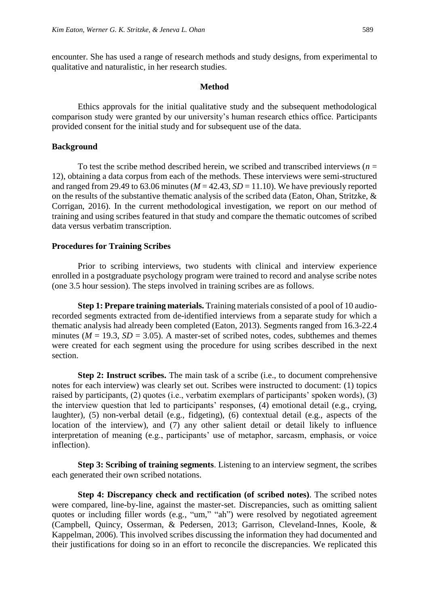encounter. She has used a range of research methods and study designs, from experimental to qualitative and naturalistic, in her research studies.

#### **Method**

Ethics approvals for the initial qualitative study and the subsequent methodological comparison study were granted by our university's human research ethics office. Participants provided consent for the initial study and for subsequent use of the data.

#### **Background**

To test the scribe method described herein, we scribed and transcribed interviews ( $n =$ 12), obtaining a data corpus from each of the methods. These interviews were semi-structured and ranged from 29.49 to 63.06 minutes ( $M = 42.43$ ,  $SD = 11.10$ ). We have previously reported on the results of the substantive thematic analysis of the scribed data (Eaton, Ohan, Stritzke, & Corrigan, 2016). In the current methodological investigation, we report on our method of training and using scribes featured in that study and compare the thematic outcomes of scribed data versus verbatim transcription.

#### **Procedures for Training Scribes**

Prior to scribing interviews, two students with clinical and interview experience enrolled in a postgraduate psychology program were trained to record and analyse scribe notes (one 3.5 hour session). The steps involved in training scribes are as follows.

**Step 1: Prepare training materials.** Training materials consisted of a pool of 10 audiorecorded segments extracted from de-identified interviews from a separate study for which a thematic analysis had already been completed (Eaton, 2013). Segments ranged from 16.3-22.4 minutes ( $M = 19.3$ ,  $SD = 3.05$ ). A master-set of scribed notes, codes, subthemes and themes were created for each segment using the procedure for using scribes described in the next section.

**Step 2: Instruct scribes.** The main task of a scribe (i.e., to document comprehensive notes for each interview) was clearly set out. Scribes were instructed to document: (1) topics raised by participants, (2) quotes (i.e., verbatim exemplars of participants' spoken words), (3) the interview question that led to participants' responses, (4) emotional detail (e.g., crying, laughter), (5) non-verbal detail (e.g., fidgeting), (6) contextual detail (e.g., aspects of the location of the interview), and (7) any other salient detail or detail likely to influence interpretation of meaning (e.g., participants' use of metaphor, sarcasm, emphasis, or voice inflection).

**Step 3: Scribing of training segments**. Listening to an interview segment, the scribes each generated their own scribed notations.

**Step 4: Discrepancy check and rectification (of scribed notes)**. The scribed notes were compared, line-by-line, against the master-set. Discrepancies, such as omitting salient quotes or including filler words (e.g., "um," "ah") were resolved by negotiated agreement (Campbell, Quincy, Osserman, & Pedersen, 2013; Garrison, Cleveland-Innes, Koole, & Kappelman, 2006). This involved scribes discussing the information they had documented and their justifications for doing so in an effort to reconcile the discrepancies. We replicated this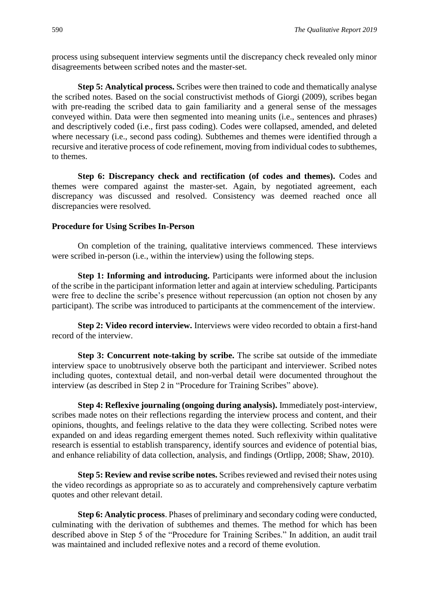process using subsequent interview segments until the discrepancy check revealed only minor disagreements between scribed notes and the master-set.

**Step 5: Analytical process.** Scribes were then trained to code and thematically analyse the scribed notes. Based on the social constructivist methods of Giorgi (2009), scribes began with pre-reading the scribed data to gain familiarity and a general sense of the messages conveyed within. Data were then segmented into meaning units (i.e., sentences and phrases) and descriptively coded (i.e., first pass coding). Codes were collapsed, amended, and deleted where necessary (i.e., second pass coding). Subthemes and themes were identified through a recursive and iterative process of code refinement, moving from individual codes to subthemes, to themes.

**Step 6: Discrepancy check and rectification (of codes and themes).** Codes and themes were compared against the master-set. Again, by negotiated agreement, each discrepancy was discussed and resolved. Consistency was deemed reached once all discrepancies were resolved.

#### **Procedure for Using Scribes In-Person**

On completion of the training, qualitative interviews commenced. These interviews were scribed in-person (i.e., within the interview) using the following steps.

**Step 1: Informing and introducing.** Participants were informed about the inclusion of the scribe in the participant information letter and again at interview scheduling. Participants were free to decline the scribe's presence without repercussion (an option not chosen by any participant). The scribe was introduced to participants at the commencement of the interview.

**Step 2: Video record interview.** Interviews were video recorded to obtain a first-hand record of the interview.

**Step 3: Concurrent note-taking by scribe.** The scribe sat outside of the immediate interview space to unobtrusively observe both the participant and interviewer. Scribed notes including quotes, contextual detail, and non-verbal detail were documented throughout the interview (as described in Step 2 in "Procedure for Training Scribes" above).

**Step 4: Reflexive journaling (ongoing during analysis).** Immediately post-interview, scribes made notes on their reflections regarding the interview process and content, and their opinions, thoughts, and feelings relative to the data they were collecting. Scribed notes were expanded on and ideas regarding emergent themes noted. Such reflexivity within qualitative research is essential to establish transparency, identify sources and evidence of potential bias, and enhance reliability of data collection, analysis, and findings (Ortlipp, 2008; Shaw, 2010).

**Step 5: Review and revise scribe notes.** Scribes reviewed and revised their notes using the video recordings as appropriate so as to accurately and comprehensively capture verbatim quotes and other relevant detail.

**Step 6: Analytic process**. Phases of preliminary and secondary coding were conducted, culminating with the derivation of subthemes and themes. The method for which has been described above in Step 5 of the "Procedure for Training Scribes." In addition, an audit trail was maintained and included reflexive notes and a record of theme evolution.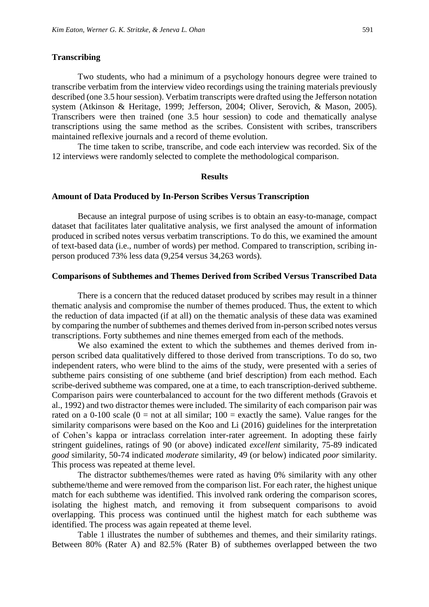#### **Transcribing**

Two students, who had a minimum of a psychology honours degree were trained to transcribe verbatim from the interview video recordings using the training materials previously described (one 3.5 hour session). Verbatim transcripts were drafted using the Jefferson notation system (Atkinson & Heritage, 1999; Jefferson, 2004; Oliver, Serovich, & Mason, 2005). Transcribers were then trained (one 3.5 hour session) to code and thematically analyse transcriptions using the same method as the scribes. Consistent with scribes, transcribers maintained reflexive journals and a record of theme evolution.

The time taken to scribe, transcribe, and code each interview was recorded. Six of the 12 interviews were randomly selected to complete the methodological comparison.

#### **Results**

#### **Amount of Data Produced by In-Person Scribes Versus Transcription**

Because an integral purpose of using scribes is to obtain an easy-to-manage, compact dataset that facilitates later qualitative analysis, we first analysed the amount of information produced in scribed notes versus verbatim transcriptions. To do this, we examined the amount of text-based data (i.e., number of words) per method. Compared to transcription, scribing inperson produced 73% less data (9,254 versus 34,263 words).

#### **Comparisons of Subthemes and Themes Derived from Scribed Versus Transcribed Data**

There is a concern that the reduced dataset produced by scribes may result in a thinner thematic analysis and compromise the number of themes produced. Thus, the extent to which the reduction of data impacted (if at all) on the thematic analysis of these data was examined by comparing the number of subthemes and themes derived from in-person scribed notes versus transcriptions. Forty subthemes and nine themes emerged from each of the methods.

We also examined the extent to which the subthemes and themes derived from inperson scribed data qualitatively differed to those derived from transcriptions. To do so, two independent raters, who were blind to the aims of the study, were presented with a series of subtheme pairs consisting of one subtheme (and brief description) from each method. Each scribe-derived subtheme was compared, one at a time, to each transcription-derived subtheme. Comparison pairs were counterbalanced to account for the two different methods (Gravois et al., 1992) and two distractor themes were included. The similarity of each comparison pair was rated on a 0-100 scale ( $0 =$  not at all similar;  $100 =$  exactly the same). Value ranges for the similarity comparisons were based on the Koo and Li (2016) guidelines for the interpretation of Cohen's kappa or intraclass correlation inter-rater agreement. In adopting these fairly stringent guidelines, ratings of 90 (or above) indicated *excellent* similarity, 75-89 indicated *good* similarity, 50-74 indicated *moderate* similarity, 49 (or below) indicated *poor* similarity. This process was repeated at theme level.

The distractor subthemes/themes were rated as having 0% similarity with any other subtheme/theme and were removed from the comparison list. For each rater, the highest unique match for each subtheme was identified. This involved rank ordering the comparison scores, isolating the highest match, and removing it from subsequent comparisons to avoid overlapping. This process was continued until the highest match for each subtheme was identified. The process was again repeated at theme level.

Table 1 illustrates the number of subthemes and themes, and their similarity ratings. Between 80% (Rater A) and 82.5% (Rater B) of subthemes overlapped between the two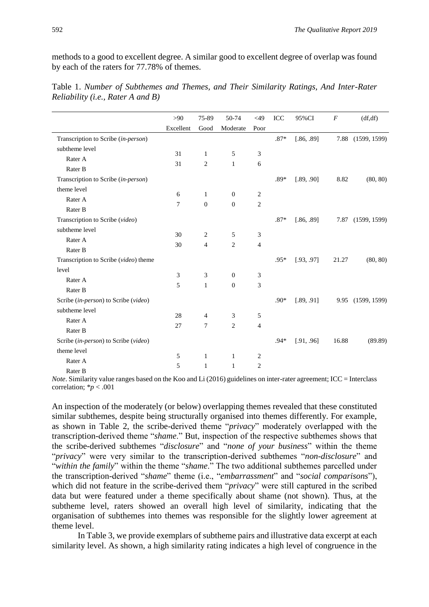methods to a good to excellent degree. A similar good to excellent degree of overlap was found by each of the raters for 77.78% of themes.

|                                       | >90       | 75-89          | 50-74            | $<$ 49         | <b>ICC</b> | 95%CI      | $\boldsymbol{F}$ | (df, df)          |
|---------------------------------------|-----------|----------------|------------------|----------------|------------|------------|------------------|-------------------|
|                                       | Excellent | Good           | Moderate         | Poor           |            |            |                  |                   |
| Transcription to Scribe (in-person)   |           |                |                  |                | $.87*$     | [.86, .89] |                  | 7.88 (1599, 1599) |
| subtheme level                        |           |                |                  |                |            |            |                  |                   |
| Rater A                               | 31        | $\mathbf{1}$   | 5                | 3              |            |            |                  |                   |
| Rater B                               | 31        | $\overline{c}$ | $\mathbf{1}$     | 6              |            |            |                  |                   |
| Transcription to Scribe (in-person)   |           |                |                  |                | $.89*$     | [.89, .90] | 8.82             | (80, 80)          |
| theme level                           |           |                | $\mathbf{0}$     |                |            |            |                  |                   |
| Rater A                               | 6         | $\mathbf{1}$   |                  | 2              |            |            |                  |                   |
| Rater B                               | 7         | $\overline{0}$ | $\boldsymbol{0}$ | $\mathfrak{2}$ |            |            |                  |                   |
| Transcription to Scribe (video)       |           |                |                  |                | $.87*$     | [.86, .89] | 7.87             | (1599, 1599)      |
| subtheme level                        |           |                |                  |                |            |            |                  |                   |
| Rater A                               | 30        | 2              | 5                | 3              |            |            |                  |                   |
| Rater B                               | 30        | 4              | $\mathbf{2}$     | $\overline{4}$ |            |            |                  |                   |
| Transcription to Scribe (video) theme |           |                |                  |                | $.95*$     | [.93, .97] | 21.27            | (80, 80)          |
| level                                 |           |                |                  |                |            |            |                  |                   |
| Rater A                               | 3         | 3              | $\boldsymbol{0}$ | 3              |            |            |                  |                   |
| Rater B                               | 5         | $\mathbf{1}$   | $\boldsymbol{0}$ | 3              |            |            |                  |                   |
| Scribe (in-person) to Scribe (video)  |           |                |                  |                | $.90*$     | [.89, .91] | 9.95             | (1599, 1599)      |
| subtheme level                        |           |                |                  |                |            |            |                  |                   |
| Rater A                               | 28        | 4              | 3                | 5              |            |            |                  |                   |
| Rater B                               | 27        | 7              | $\overline{c}$   | $\overline{4}$ |            |            |                  |                   |
| Scribe (in-person) to Scribe (video)  |           |                |                  |                | $.94*$     | [.91, .96] | 16.88            | (89.89)           |
| theme level                           |           |                |                  |                |            |            |                  |                   |
| Rater A                               | 5         | $\mathbf{1}$   | $\mathbf{1}$     | 2              |            |            |                  |                   |
| Rater B                               | 5         | $\mathbf{1}$   | $\mathbf{1}$     | $\overline{2}$ |            |            |                  |                   |

Table 1. *Number of Subthemes and Themes, and Their Similarity Ratings, And Inter-Rater Reliability (i.e., Rater A and B)*

*Note*. Similarity value ranges based on the Koo and Li (2016) guidelines on inter-rater agreement; ICC = Interclass correlation; \**p* < .001

An inspection of the moderately (or below) overlapping themes revealed that these constituted similar subthemes, despite being structurally organised into themes differently. For example, as shown in Table 2, the scribe-derived theme "*privacy*" moderately overlapped with the transcription-derived theme "*shame*." But, inspection of the respective subthemes shows that the scribe-derived subthemes "*disclosure*" and "*none of your business*" within the theme "*privacy*" were very similar to the transcription-derived subthemes "*non-disclosure*" and "*within the family*" within the theme "*shame*." The two additional subthemes parcelled under the transcription-derived "*shame*" theme (i.e., "*embarrassment*" and "*social comparisons*"), which did not feature in the scribe-derived them "*privacy*" were still captured in the scribed data but were featured under a theme specifically about shame (not shown). Thus, at the subtheme level, raters showed an overall high level of similarity, indicating that the organisation of subthemes into themes was responsible for the slightly lower agreement at theme level.

In Table 3, we provide exemplars of subtheme pairs and illustrative data excerpt at each similarity level. As shown, a high similarity rating indicates a high level of congruence in the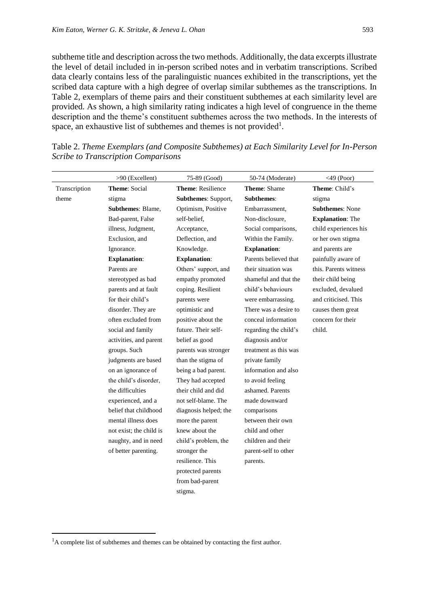subtheme title and description across the two methods. Additionally, the data excerpts illustrate the level of detail included in in-person scribed notes and in verbatim transcriptions. Scribed data clearly contains less of the paralinguistic nuances exhibited in the transcriptions, yet the scribed data capture with a high degree of overlap similar subthemes as the transcriptions. In Table 2, exemplars of theme pairs and their constituent subthemes at each similarity level are provided. As shown, a high similarity rating indicates a high level of congruence in the theme description and the theme's constituent subthemes across the two methods. In the interests of space, an exhaustive list of subthemes and themes is not provided<sup>1</sup>.

|               | >90 (Excellent)          | 75-89 (Good)             | 50-74 (Moderate)      | $<$ 49 (Poor)           |
|---------------|--------------------------|--------------------------|-----------------------|-------------------------|
| Transcription | <b>Theme: Social</b>     | <b>Theme: Resilience</b> | <b>Theme: Shame</b>   | Theme: Child's          |
| theme         | stigma                   | Subthemes: Support,      | <b>Subthemes:</b>     | stigma                  |
|               | <b>Subthemes: Blame,</b> | Optimism, Positive       | Embarrassment,        | <b>Subthemes: None</b>  |
|               | Bad-parent, False        | self-belief,             | Non-disclosure,       | <b>Explanation: The</b> |
|               | illness, Judgment,       | Acceptance,              | Social comparisons,   | child experiences his   |
|               | Exclusion, and           | Deflection, and          | Within the Family.    | or her own stigma       |
|               | Ignorance.               | Knowledge.               | <b>Explanation:</b>   | and parents are         |
|               | <b>Explanation:</b>      | <b>Explanation:</b>      | Parents believed that | painfully aware of      |
|               | Parents are              | Others' support, and     | their situation was   | this. Parents witness   |
|               | stereotyped as bad       | empathy promoted         | shameful and that the | their child being       |
|               | parents and at fault     | coping. Resilient        | child's behaviours    | excluded, devalued      |
|               | for their child's        | parents were             | were embarrassing.    | and criticised. This    |
|               | disorder. They are       | optimistic and           | There was a desire to | causes them great       |
|               | often excluded from      | positive about the       | conceal information   | concern for their       |
|               | social and family        | future. Their self-      | regarding the child's | child.                  |
|               | activities, and parent   | belief as good           | diagnosis and/or      |                         |
|               | groups. Such             | parents was stronger     | treatment as this was |                         |
|               | judgments are based      | than the stigma of       | private family        |                         |
|               | on an ignorance of       | being a bad parent.      | information and also  |                         |
|               | the child's disorder,    | They had accepted        | to avoid feeling      |                         |
|               | the difficulties         | their child and did      | ashamed. Parents      |                         |
|               | experienced, and a       | not self-blame. The      | made downward         |                         |
|               | belief that childhood    | diagnosis helped; the    | comparisons           |                         |
|               | mental illness does      | more the parent          | between their own     |                         |
|               | not exist; the child is  | knew about the           | child and other       |                         |
|               | naughty, and in need     | child's problem, the     | children and their    |                         |
|               | of better parenting.     | stronger the             | parent-self to other  |                         |
|               |                          | resilience. This         | parents.              |                         |
|               |                          | protected parents        |                       |                         |
|               |                          | from bad-parent          |                       |                         |
|               |                          | stigma.                  |                       |                         |

Table 2. *Theme Exemplars (and Composite Subthemes) at Each Similarity Level for In-Person Scribe to Transcription Comparisons*

 $\overline{a}$ 

 $<sup>1</sup>A$  complete list of subthemes and themes can be obtained by contacting the first author.</sup>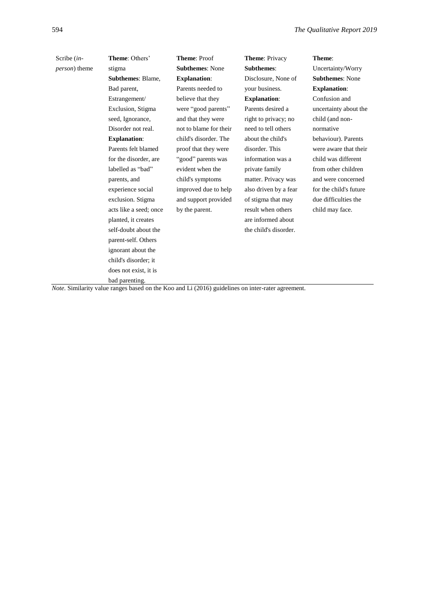| Scribe (in-           | <b>Theme: Others'</b>                                                                             | <b>Theme: Proof</b>    | <b>Theme: Privacy</b> | Theme:                 |
|-----------------------|---------------------------------------------------------------------------------------------------|------------------------|-----------------------|------------------------|
| <i>person</i> ) theme | stigma                                                                                            | <b>Subthemes: None</b> | <b>Subthemes:</b>     | Uncertainty/Worry      |
|                       | <b>Subthemes: Blame,</b>                                                                          | <b>Explanation:</b>    | Disclosure, None of   | <b>Subthemes: None</b> |
|                       | Bad parent,                                                                                       | Parents needed to      | your business.        | <b>Explanation:</b>    |
|                       | Estrangement/                                                                                     | believe that they      | <b>Explanation:</b>   | Confusion and          |
|                       | Exclusion, Stigma                                                                                 | were "good parents"    | Parents desired a     | uncertainty about the  |
|                       | seed, Ignorance,                                                                                  | and that they were     | right to privacy; no  | child (and non-        |
|                       | Disorder not real.                                                                                | not to blame for their | need to tell others   | normative              |
|                       | <b>Explanation:</b>                                                                               | child's disorder. The  | about the child's     | behaviour). Parents    |
|                       | Parents felt blamed                                                                               | proof that they were   | disorder. This        | were aware that their  |
|                       | for the disorder, are                                                                             | "good" parents was     | information was a     | child was different    |
|                       | labelled as "bad"                                                                                 | evident when the       | private family        | from other children    |
|                       | parents, and                                                                                      | child's symptoms       | matter. Privacy was   | and were concerned     |
|                       | experience social                                                                                 | improved due to help   | also driven by a fear | for the child's future |
|                       | exclusion. Stigma                                                                                 | and support provided   | of stigma that may    | due difficulties the   |
|                       | acts like a seed; once                                                                            | by the parent.         | result when others    | child may face.        |
|                       | planted, it creates                                                                               |                        | are informed about    |                        |
|                       | self-doubt about the                                                                              |                        | the child's disorder. |                        |
|                       | parent-self. Others                                                                               |                        |                       |                        |
|                       | ignorant about the                                                                                |                        |                       |                        |
|                       | child's disorder; it                                                                              |                        |                       |                        |
|                       | does not exist, it is                                                                             |                        |                       |                        |
|                       | bad parenting.                                                                                    |                        |                       |                        |
|                       | Note. Similarity value ranges based on the Koo and Li (2016) guidelines on inter-rater agreement. |                        |                       |                        |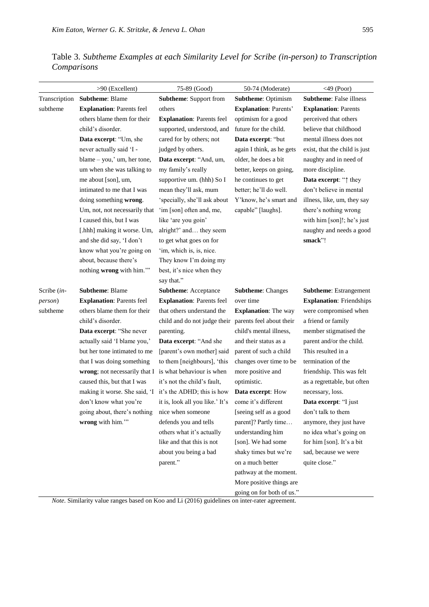| Table 3. Subtheme Examples at each Similarity Level for Scribe (in-person) to Transcription |  |  |  |
|---------------------------------------------------------------------------------------------|--|--|--|
| Comparisons                                                                                 |  |  |  |

|                 | >90 (Excellent)                                          | 75-89 (Good)                     | 50-74 (Moderate)             | $<$ 49 (Poor)                   |
|-----------------|----------------------------------------------------------|----------------------------------|------------------------------|---------------------------------|
|                 | Transcription Subtheme: Blame                            | Subtheme: Support from           | <b>Subtheme: Optimism</b>    | <b>Subtheme:</b> False illness  |
| subtheme        | <b>Explanation: Parents feel</b>                         | others                           | <b>Explanation: Parents'</b> | <b>Explanation: Parents</b>     |
|                 | others blame them for their                              | <b>Explanation: Parents feel</b> | optimism for a good          | perceived that others           |
|                 | child's disorder.                                        | supported, understood, and       | future for the child.        | believe that childhood          |
|                 | Data excerpt: "Um, she                                   | cared for by others; not         | Data excerpt: "but           | mental illness does not         |
|                 | never actually said 'I -                                 | judged by others.                | again I think, as he gets    | exist, that the child is just   |
|                 | blame - you,' um, her tone,                              | Data excerpt: "And, um,          | older, he does a bit         | naughty and in need of          |
|                 | um when she was talking to                               | my family's really               | better, keeps on going,      | more discipline.                |
|                 | me about [son], um,                                      | supportive um. (hhh) So I        | he continues to get          | Data excerpt: "^ they           |
|                 | intimated to me that I was                               | mean they'll ask, mum            | better; he'll do well.       | don't believe in mental         |
|                 | doing something wrong.                                   | 'specially, she'll ask about     | Y'know, he's smart and       | illness, like, um, they say     |
|                 | Um, not, not necessarily that                            | 'im [son] often and, me,         | capable" [laughs].           | there's nothing wrong           |
|                 | I caused this, but I was                                 | like 'are you goin'              |                              | with him [son]!; he's just      |
|                 | [.hhh] making it worse. Um,                              | alright?' and they seem          |                              | naughty and needs a good        |
|                 | and she did say, 'I don't                                | to get what goes on for          |                              | smack"!                         |
|                 | know what you're going on                                | 'im, which is, is, nice.         |                              |                                 |
|                 | about, because there's                                   | They know I'm doing my           |                              |                                 |
|                 | nothing wrong with him.""                                | best, it's nice when they        |                              |                                 |
|                 |                                                          | say that."                       |                              |                                 |
| Scribe (in-     | <b>Subtheme: Blame</b>                                   | <b>Subtheme:</b> Acceptance      | <b>Subtheme: Changes</b>     | <b>Subtheme:</b> Estrangement   |
| <i>person</i> ) | <b>Explanation: Parents feel</b>                         | <b>Explanation: Parents feel</b> | over time                    | <b>Explanation:</b> Friendships |
| subtheme        | others blame them for their                              | that others understand the       | <b>Explanation:</b> The way  | were compromised when           |
|                 | child's disorder.                                        | child and do not judge their     | parents feel about their     | a friend or family              |
|                 | Data excerpt: "She never                                 | parenting.                       | child's mental illness,      | member stigmatised the          |
|                 | actually said 'I blame you,'                             | Data excerpt: "And she           | and their status as a        | parent and/or the child.        |
|                 | but her tone intimated to me                             | [parent's own mother] said       | parent of such a child       | This resulted in a              |
|                 | that I was doing something                               | to them [neighbours], 'this      | changes over time to be      | termination of the              |
|                 | wrong; not necessarily that I is what behaviour is when  |                                  | more positive and            | friendship. This was felt       |
|                 | caused this, but that I was                              | it's not the child's fault,      | optimistic.                  | as a regrettable, but often     |
|                 | making it worse. She said, 'I it's the ADHD; this is how |                                  | Data excerpt: How            | necessary, loss.                |
|                 | don't know what you're                                   | it is, look all you like.' It's  | come it's different          | Data excerpt: "I just           |
|                 | going about, there's nothing                             | nice when someone                | [seeing self as a good       | don't talk to them              |
|                 | wrong with him."                                         | defends you and tells            | parent]? Partly time         | anymore, they just have         |
|                 |                                                          | others what it's actually        | understanding him            | no idea what's going on         |
|                 |                                                          | like and that this is not        | [son]. We had some           | for him [son]. It's a bit       |
|                 |                                                          | about you being a bad            | shaky times but we're        | sad, because we were            |
|                 |                                                          | parent."                         | on a much better             | quite close."                   |
|                 |                                                          |                                  | pathway at the moment.       |                                 |
|                 |                                                          |                                  | More positive things are     |                                 |

*Note*. Similarity value ranges based on Koo and Li (2016) guidelines on inter-rater agreement.

going on for both of us."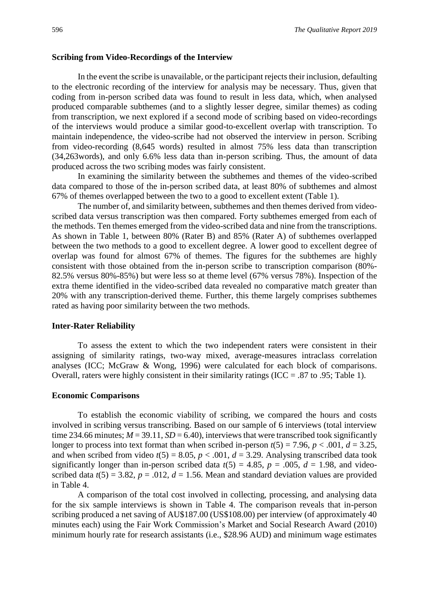#### **Scribing from Video-Recordings of the Interview**

In the event the scribe is unavailable, or the participant rejects their inclusion, defaulting to the electronic recording of the interview for analysis may be necessary. Thus, given that coding from in-person scribed data was found to result in less data, which, when analysed produced comparable subthemes (and to a slightly lesser degree, similar themes) as coding from transcription, we next explored if a second mode of scribing based on video-recordings of the interviews would produce a similar good-to-excellent overlap with transcription. To maintain independence, the video-scribe had not observed the interview in person. Scribing from video-recording (8,645 words) resulted in almost 75% less data than transcription (34,263words), and only 6.6% less data than in-person scribing. Thus, the amount of data produced across the two scribing modes was fairly consistent.

In examining the similarity between the subthemes and themes of the video-scribed data compared to those of the in-person scribed data, at least 80% of subthemes and almost 67% of themes overlapped between the two to a good to excellent extent (Table 1).

The number of, and similarity between, subthemes and then themes derived from videoscribed data versus transcription was then compared. Forty subthemes emerged from each of the methods. Ten themes emerged from the video-scribed data and nine from the transcriptions. As shown in Table 1, between 80% (Rater B) and 85% (Rater A) of subthemes overlapped between the two methods to a good to excellent degree. A lower good to excellent degree of overlap was found for almost 67% of themes. The figures for the subthemes are highly consistent with those obtained from the in-person scribe to transcription comparison (80%- 82.5% versus 80%-85%) but were less so at theme level (67% versus 78%). Inspection of the extra theme identified in the video-scribed data revealed no comparative match greater than 20% with any transcription-derived theme. Further, this theme largely comprises subthemes rated as having poor similarity between the two methods.

#### **Inter-Rater Reliability**

To assess the extent to which the two independent raters were consistent in their assigning of similarity ratings, two-way mixed, average-measures intraclass correlation analyses (ICC; McGraw & Wong, 1996) were calculated for each block of comparisons. Overall, raters were highly consistent in their similarity ratings (ICC = .87 to .95; Table 1).

#### **Economic Comparisons**

To establish the economic viability of scribing, we compared the hours and costs involved in scribing versus transcribing. Based on our sample of 6 interviews (total interview time 234.66 minutes;  $M = 39.11$ ,  $SD = 6.40$ ), interviews that were transcribed took significantly longer to process into text format than when scribed in-person  $t(5) = 7.96$ ,  $p < .001$ ,  $d = 3.25$ , and when scribed from video  $t(5) = 8.05$ ,  $p < .001$ ,  $d = 3.29$ . Analysing transcribed data took significantly longer than in-person scribed data  $t(5) = 4.85$ ,  $p = .005$ ,  $d = 1.98$ , and videoscribed data  $t(5) = 3.82$ ,  $p = .012$ ,  $d = 1.56$ . Mean and standard deviation values are provided in Table 4.

A comparison of the total cost involved in collecting, processing, and analysing data for the six sample interviews is shown in Table 4. The comparison reveals that in-person scribing produced a net saving of AU\$187.00 (US\$108.00) per interview (of approximately 40 minutes each) using the Fair Work Commission's Market and Social Research Award (2010) minimum hourly rate for research assistants (i.e., \$28.96 AUD) and minimum wage estimates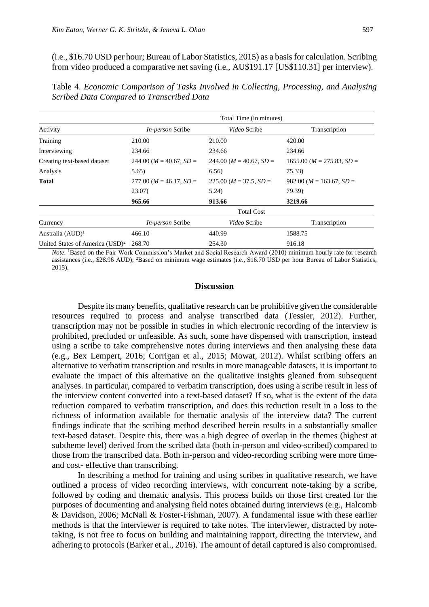(i.e., \$16.70 USD per hour; Bureau of Labor Statistics, 2015) as a basis for calculation. Scribing from video produced a comparative net saving (i.e., AU\$191.17 [US\$110.31] per interview).

| Table 4. Economic Comparison of Tasks Involved in Collecting, Processing, and Analysing |  |  |  |
|-----------------------------------------------------------------------------------------|--|--|--|
| Scribed Data Compared to Transcribed Data                                               |  |  |  |

|                                             | Total Time (in minutes)   |                           |                             |  |  |  |
|---------------------------------------------|---------------------------|---------------------------|-----------------------------|--|--|--|
| Activity                                    | <i>In-person</i> Scribe   | Video Scribe              | Transcription               |  |  |  |
| Training                                    | 210.00                    | 210.00                    | 420.00                      |  |  |  |
| Interviewing                                | 234.66                    | 234.66                    | 234.66                      |  |  |  |
| Creating text-based dataset                 | $244.00 (M = 40.67, SD =$ | $244.00 (M = 40.67, SD =$ | $1655.00 (M = 275.83, SD =$ |  |  |  |
| Analysis                                    | 5.65)                     | 6.56)                     | 75.33)                      |  |  |  |
| <b>Total</b>                                | $277.00 (M = 46.17, SD =$ | $225.00 (M = 37.5, SD =$  | $982.00 (M = 163.67, SD =$  |  |  |  |
|                                             | 23.07)                    | 5.24)                     | 79.39)                      |  |  |  |
|                                             | 965.66                    | 913.66                    | 3219.66                     |  |  |  |
|                                             |                           | <b>Total Cost</b>         |                             |  |  |  |
| Currency                                    | <i>In-person</i> Scribe   | Video Scribe              | Transcription               |  |  |  |
| Australia (AUD) <sup>1</sup>                | 466.10                    | 440.99                    | 1588.75                     |  |  |  |
| United States of America (USD) <sup>2</sup> | 268.70                    | 254.30                    | 916.18                      |  |  |  |

*Note*. <sup>1</sup>Based on the Fair Work Commission's Market and Social Research Award (2010) minimum hourly rate for research assistances (i.e., \$28.96 AUD); <sup>2</sup>Based on minimum wage estimates (i.e., \$16.70 USD per hour Bureau of Labor Statistics, 2015).

#### **Discussion**

Despite its many benefits, qualitative research can be prohibitive given the considerable resources required to process and analyse transcribed data (Tessier, 2012). Further, transcription may not be possible in studies in which electronic recording of the interview is prohibited, precluded or unfeasible. As such, some have dispensed with transcription, instead using a scribe to take comprehensive notes during interviews and then analysing these data (e.g., Bex Lempert, 2016; Corrigan et al., 2015; Mowat, 2012). Whilst scribing offers an alternative to verbatim transcription and results in more manageable datasets, it is important to evaluate the impact of this alternative on the qualitative insights gleaned from subsequent analyses. In particular, compared to verbatim transcription, does using a scribe result in less of the interview content converted into a text-based dataset? If so, what is the extent of the data reduction compared to verbatim transcription, and does this reduction result in a loss to the richness of information available for thematic analysis of the interview data? The current findings indicate that the scribing method described herein results in a substantially smaller text-based dataset. Despite this, there was a high degree of overlap in the themes (highest at subtheme level) derived from the scribed data (both in-person and video-scribed) compared to those from the transcribed data. Both in-person and video-recording scribing were more timeand cost- effective than transcribing.

In describing a method for training and using scribes in qualitative research, we have outlined a process of video recording interviews, with concurrent note-taking by a scribe, followed by coding and thematic analysis. This process builds on those first created for the purposes of documenting and analysing field notes obtained during interviews (e.g., Halcomb & Davidson, 2006; McNall & Foster-Fishman, 2007). A fundamental issue with these earlier methods is that the interviewer is required to take notes. The interviewer, distracted by notetaking, is not free to focus on building and maintaining rapport, directing the interview, and adhering to protocols (Barker et al., 2016). The amount of detail captured is also compromised.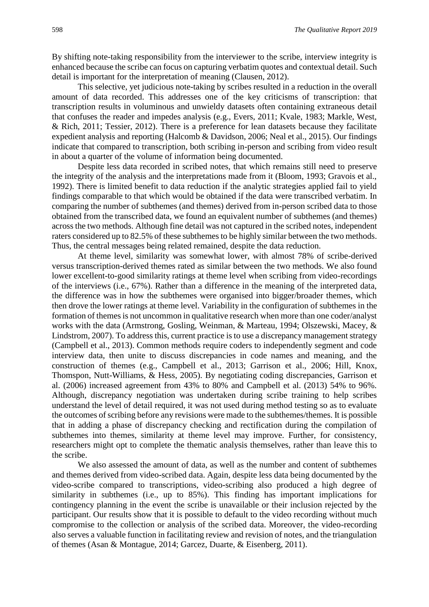By shifting note-taking responsibility from the interviewer to the scribe, interview integrity is enhanced because the scribe can focus on capturing verbatim quotes and contextual detail. Such detail is important for the interpretation of meaning (Clausen, 2012).

This selective, yet judicious note-taking by scribes resulted in a reduction in the overall amount of data recorded. This addresses one of the key criticisms of transcription: that transcription results in voluminous and unwieldy datasets often containing extraneous detail that confuses the reader and impedes analysis (e.g., Evers, 2011; Kvale, 1983; Markle, West, & Rich, 2011; Tessier, 2012). There is a preference for lean datasets because they facilitate expedient analysis and reporting (Halcomb & Davidson, 2006; Neal et al., 2015). Our findings indicate that compared to transcription, both scribing in-person and scribing from video result in about a quarter of the volume of information being documented.

Despite less data recorded in scribed notes, that which remains still need to preserve the integrity of the analysis and the interpretations made from it (Bloom, 1993; Gravois et al., 1992). There is limited benefit to data reduction if the analytic strategies applied fail to yield findings comparable to that which would be obtained if the data were transcribed verbatim. In comparing the number of subthemes (and themes) derived from in-person scribed data to those obtained from the transcribed data, we found an equivalent number of subthemes (and themes) across the two methods. Although fine detail was not captured in the scribed notes, independent raters considered up to 82.5% of these subthemes to be highly similar between the two methods. Thus, the central messages being related remained, despite the data reduction.

At theme level, similarity was somewhat lower, with almost 78% of scribe-derived versus transcription-derived themes rated as similar between the two methods. We also found lower excellent-to-good similarity ratings at theme level when scribing from video-recordings of the interviews (i.e., 67%). Rather than a difference in the meaning of the interpreted data, the difference was in how the subthemes were organised into bigger/broader themes, which then drove the lower ratings at theme level. Variability in the configuration of subthemes in the formation of themes is not uncommon in qualitative research when more than one coder/analyst works with the data (Armstrong, Gosling, Weinman, & Marteau, 1994; Olszewski, Macey, & Lindstrom, 2007). To address this, current practice is to use a discrepancy management strategy (Campbell et al., 2013). Common methods require coders to independently segment and code interview data, then unite to discuss discrepancies in code names and meaning, and the construction of themes (e.g., Campbell et al., 2013; Garrison et al., 2006; Hill, Knox, Thomspon, Nutt-Williams, & Hess, 2005). By negotiating coding discrepancies, Garrison et al. (2006) increased agreement from 43% to 80% and Campbell et al. (2013) 54% to 96%. Although, discrepancy negotiation was undertaken during scribe training to help scribes understand the level of detail required, it was not used during method testing so as to evaluate the outcomes of scribing before any revisions were made to the subthemes/themes. It is possible that in adding a phase of discrepancy checking and rectification during the compilation of subthemes into themes, similarity at theme level may improve. Further, for consistency, researchers might opt to complete the thematic analysis themselves, rather than leave this to the scribe.

We also assessed the amount of data, as well as the number and content of subthemes and themes derived from video-scribed data. Again, despite less data being documented by the video-scribe compared to transcriptions, video-scribing also produced a high degree of similarity in subthemes (i.e., up to 85%). This finding has important implications for contingency planning in the event the scribe is unavailable or their inclusion rejected by the participant. Our results show that it is possible to default to the video recording without much compromise to the collection or analysis of the scribed data. Moreover, the video-recording also serves a valuable function in facilitating review and revision of notes, and the triangulation of themes (Asan & Montague, 2014; Garcez, Duarte, & Eisenberg, 2011).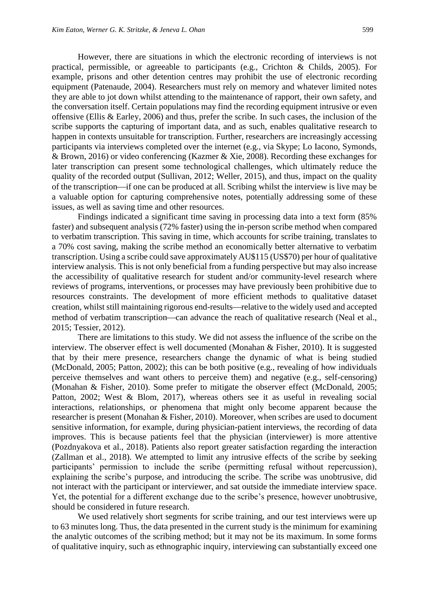However, there are situations in which the electronic recording of interviews is not practical, permissible, or agreeable to participants (e.g., Crichton & Childs, 2005). For example, prisons and other detention centres may prohibit the use of electronic recording equipment (Patenaude, 2004). Researchers must rely on memory and whatever limited notes they are able to jot down whilst attending to the maintenance of rapport, their own safety, and the conversation itself. Certain populations may find the recording equipment intrusive or even offensive (Ellis & Earley, 2006) and thus, prefer the scribe. In such cases, the inclusion of the scribe supports the capturing of important data, and as such, enables qualitative research to happen in contexts unsuitable for transcription. Further, researchers are increasingly accessing participants via interviews completed over the internet (e.g., via Skype; Lo Iacono, Symonds, & Brown, 2016) or video conferencing (Kazmer & Xie, 2008). Recording these exchanges for later transcription can present some technological challenges, which ultimately reduce the quality of the recorded output (Sullivan, 2012; Weller, 2015), and thus, impact on the quality of the transcription—if one can be produced at all. Scribing whilst the interview is live may be a valuable option for capturing comprehensive notes, potentially addressing some of these issues, as well as saving time and other resources.

Findings indicated a significant time saving in processing data into a text form (85% faster) and subsequent analysis (72% faster) using the in-person scribe method when compared to verbatim transcription. This saving in time, which accounts for scribe training, translates to a 70% cost saving, making the scribe method an economically better alternative to verbatim transcription. Using a scribe could save approximately AU\$115 (US\$70) per hour of qualitative interview analysis. This is not only beneficial from a funding perspective but may also increase the accessibility of qualitative research for student and/or community-level research where reviews of programs, interventions, or processes may have previously been prohibitive due to resources constraints. The development of more efficient methods to qualitative dataset creation, whilst still maintaining rigorous end-results—relative to the widely used and accepted method of verbatim transcription—can advance the reach of qualitative research (Neal et al., 2015; Tessier, 2012).

There are limitations to this study. We did not assess the influence of the scribe on the interview. The observer effect is well documented (Monahan & Fisher, 2010). It is suggested that by their mere presence, researchers change the dynamic of what is being studied (McDonald, 2005; Patton, 2002); this can be both positive (e.g., revealing of how individuals perceive themselves and want others to perceive them) and negative (e.g., self-censoring) (Monahan & Fisher, 2010). Some prefer to mitigate the observer effect (McDonald, 2005; Patton, 2002; West & Blom, 2017), whereas others see it as useful in revealing social interactions, relationships, or phenomena that might only become apparent because the researcher is present (Monahan & Fisher, 2010). Moreover, when scribes are used to document sensitive information, for example, during physician-patient interviews, the recording of data improves. This is because patients feel that the physician (interviewer) is more attentive (Pozdnyakova et al., 2018). Patients also report greater satisfaction regarding the interaction (Zallman et al., 2018). We attempted to limit any intrusive effects of the scribe by seeking participants' permission to include the scribe (permitting refusal without repercussion), explaining the scribe's purpose, and introducing the scribe. The scribe was unobtrusive, did not interact with the participant or interviewer, and sat outside the immediate interview space. Yet, the potential for a different exchange due to the scribe's presence, however unobtrusive, should be considered in future research.

We used relatively short segments for scribe training, and our test interviews were up to 63 minutes long. Thus, the data presented in the current study is the minimum for examining the analytic outcomes of the scribing method; but it may not be its maximum. In some forms of qualitative inquiry, such as ethnographic inquiry, interviewing can substantially exceed one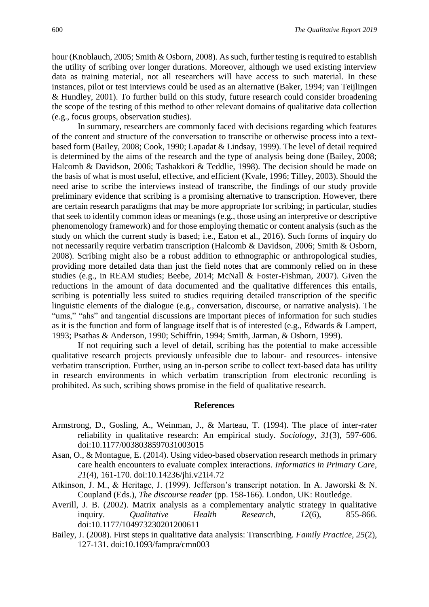hour (Knoblauch, 2005; Smith & Osborn, 2008). As such, further testing is required to establish the utility of scribing over longer durations. Moreover, although we used existing interview data as training material, not all researchers will have access to such material. In these instances, pilot or test interviews could be used as an alternative (Baker, 1994; van Teijlingen & Hundley, 2001). To further build on this study, future research could consider broadening the scope of the testing of this method to other relevant domains of qualitative data collection (e.g., focus groups, observation studies).

In summary, researchers are commonly faced with decisions regarding which features of the content and structure of the conversation to transcribe or otherwise process into a textbased form (Bailey, 2008; Cook, 1990; Lapadat & Lindsay, 1999). The level of detail required is determined by the aims of the research and the type of analysis being done (Bailey, 2008; Halcomb & Davidson, 2006; Tashakkori & Teddlie, 1998). The decision should be made on the basis of what is most useful, effective, and efficient (Kvale, 1996; Tilley, 2003). Should the need arise to scribe the interviews instead of transcribe, the findings of our study provide preliminary evidence that scribing is a promising alternative to transcription. However, there are certain research paradigms that may be more appropriate for scribing; in particular, studies that seek to identify common ideas or meanings (e.g., those using an interpretive or descriptive phenomenology framework) and for those employing thematic or content analysis (such as the study on which the current study is based; i.e., Eaton et al., 2016). Such forms of inquiry do not necessarily require verbatim transcription (Halcomb & Davidson, 2006; Smith & Osborn, 2008). Scribing might also be a robust addition to ethnographic or anthropological studies, providing more detailed data than just the field notes that are commonly relied on in these studies (e.g., in REAM studies; Beebe, 2014; McNall & Foster-Fishman, 2007). Given the reductions in the amount of data documented and the qualitative differences this entails, scribing is potentially less suited to studies requiring detailed transcription of the specific linguistic elements of the dialogue (e.g., conversation, discourse, or narrative analysis). The "ums," "ahs" and tangential discussions are important pieces of information for such studies as it is the function and form of language itself that is of interested (e.g., Edwards & Lampert, 1993; Psathas & Anderson, 1990; Schiffrin, 1994; Smith, Jarman, & Osborn, 1999).

If not requiring such a level of detail, scribing has the potential to make accessible qualitative research projects previously unfeasible due to labour- and resources- intensive verbatim transcription. Further, using an in-person scribe to collect text-based data has utility in research environments in which verbatim transcription from electronic recording is prohibited. As such, scribing shows promise in the field of qualitative research.

#### **References**

- Armstrong, D., Gosling, A., Weinman, J., & Marteau, T. (1994). The place of inter-rater reliability in qualitative research: An empirical study. *Sociology, 31*(3), 597-606. doi:10.1177/0038038597031003015
- Asan, O., & Montague, E. (2014). Using video-based observation research methods in primary care health encounters to evaluate complex interactions. *Informatics in Primary Care, 21*(4), 161-170. doi:10.14236/jhi.v21i4.72
- Atkinson, J. M., & Heritage, J. (1999). Jefferson's transcript notation. In A. Jaworski & N. Coupland (Eds.), *The discourse reader* (pp. 158-166). London, UK: Routledge.
- Averill, J. B. (2002). Matrix analysis as a complementary analytic strategy in qualitative inquiry. *Qualitative Health Research, 12*(6), 855-866. doi:10.1177/104973230201200611
- Bailey, J. (2008). First steps in qualitative data analysis: Transcribing. *Family Practice, 25*(2), 127-131. doi:10.1093/fampra/cmn003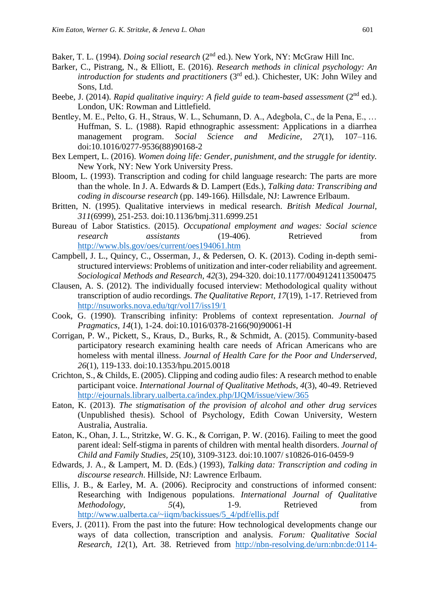Baker, T. L. (1994). *Doing social research* (2nd ed.). New York, NY: McGraw Hill Inc.

- Barker, C., Pistrang, N., & Elliott, E. (2016). *Research methods in clinical psychology: An introduction for students and practitioners* (3<sup>rd</sup> ed.). Chichester, UK: John Wiley and Sons, Ltd.
- Beebe, J. (2014). *Rapid qualitative inquiry: A field guide to team-based assessment* (2<sup>nd</sup> ed.). London, UK: Rowman and Littlefield.
- Bentley, M. E., Pelto, G. H., Straus, W. L., Schumann, D. A., Adegbola, C., de la Pena, E., … Huffman, S. L. (1988). Rapid ethnographic assessment: Applications in a diarrhea management program. *Social Science and Medicine, 27*(1), 107–116. doi:10.1016/0277-9536(88)90168-2
- Bex Lempert, L. (2016). *Women doing life: Gender, punishment, and the struggle for identity.* New York, NY: New York University Press.
- Bloom, L. (1993). Transcription and coding for child language research: The parts are more than the whole. In J. A. Edwards & D. Lampert (Eds.), *Talking data: Transcribing and coding in discourse research* (pp. 149-166)*.* Hillsdale, NJ: Lawrence Erlbaum.
- Britten, N. (1995). Qualitative interviews in medical research. *British Medical Journal, 311*(6999), 251-253. doi:10.1136/bmj.311.6999.251
- Bureau of Labor Statistics. (2015). *Occupational employment and wages: Social science research assistants* (19-406). Retrieved from <http://www.bls.gov/oes/current/oes194061.htm>
- Campbell, J. L., Quincy, C., Osserman, J., & Pedersen, O. K. (2013). Coding in-depth semistructured interviews: Problems of unitization and inter-coder reliability and agreement. *Sociological Methods and Research, 42*(3), 294-320. doi:10.1177/0049124113500475
- Clausen, A. S. (2012). The individually focused interview: Methodological quality without transcription of audio recordings. *The Qualitative Report, 17*(19), 1-17. Retrieved from <http://nsuworks.nova.edu/tqr/vol17/iss19/1>
- Cook, G. (1990). Transcribing infinity: Problems of context representation. *Journal of Pragmatics, 14*(1), 1-24. doi:10.1016/0378-2166(90)90061-H
- Corrigan, P. W., Pickett, S., Kraus, D., Burks, R., & Schmidt, A. (2015). Community-based participatory research examining health care needs of African Americans who are homeless with mental illness. *Journal of Health Care for the Poor and Underserved, 26*(1), 119-133. doi:10.1353/hpu.2015.0018
- Crichton, S., & Childs, E. (2005). Clipping and coding audio files: A research method to enable participant voice. *International Journal of Qualitative Methods, 4*(3), 40-49. Retrieved <http://ejournals.library.ualberta.ca/index.php/IJQM/issue/view/365>
- Eaton, K. (2013). *The stigmatisation of the provision of alcohol and other drug services* (Unpublished thesis). School of Psychology, Edith Cowan University, Western Australia, Australia.
- Eaton, K., Ohan, J. L., Stritzke, W. G. K., & Corrigan, P. W. (2016). Failing to meet the good parent ideal: Self-stigma in parents of children with mental health disorders. *Journal of Child and Family Studies, 25*(10), 3109-3123. doi:10.1007/ s10826-016-0459-9
- Edwards, J. A., & Lampert, M. D. (Eds.) (1993), *Talking data: Transcription and coding in discourse research*. Hillside, NJ: Lawrence Erlbaum.
- Ellis, J. B., & Earley, M. A. (2006). Reciprocity and constructions of informed consent: Researching with Indigenous populations. *International Journal of Qualitative Methodology,* 5(4), 1-9. Retrieved from [http://www.ualberta.ca/~iiqm/backissues/5\\_4/pdf/ellis.pdf](http://www.ualberta.ca/~iiqm/backissues/5_4/pdf/ellis.pdf)
- Evers, J. (2011). From the past into the future: How technological developments change our ways of data collection, transcription and analysis. *Forum: Qualitative Social Research, 12*(1), Art. 38. Retrieved from [http://nbn-resolving.de/urn:nbn:de:0114-](http://nbn-resolving.de/urn:nbn:de:0114-fqs1101381)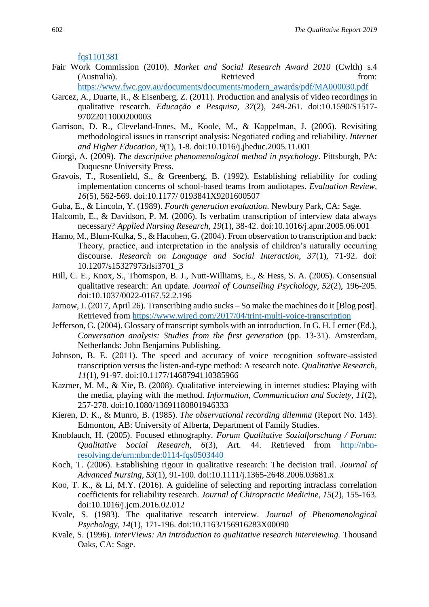[fqs1101381](http://nbn-resolving.de/urn:nbn:de:0114-fqs1101381)

Fair Work Commission (2010). *Market and Social Research Award 2010* (Cwlth) s.4 (Australia). Retrieved from:

[https://www.fwc.gov.au/documents/documents/modern\\_awards/pdf/MA000030.pdf](https://www.fwc.gov.au/documents/documents/modern_awards/pdf/MA000030.pdf)

- Garcez, A., Duarte, R., & Eisenberg, Z. (2011). Production and analysis of video recordings in qualitative research. *Educação e Pesquisa, 37*(2), 249-261. doi:10.1590/S1517- 97022011000200003
- Garrison, D. R., Cleveland-Innes, M., Koole, M., & Kappelman, J. (2006). Revisiting methodological issues in transcript analysis: Negotiated coding and reliability. *Internet and Higher Education, 9*(1), 1-8. doi:10.1016/j.jheduc.2005.11.001
- Giorgi, A. (2009). *The descriptive phenomenological method in psychology*. Pittsburgh, PA: Duquesne University Press.
- Gravois, T., Rosenfield, S., & Greenberg, B. (1992). Establishing reliability for coding implementation concerns of school-based teams from audiotapes. *Evaluation Review, 16*(5), 562-569. doi:10.1177/ 0193841X9201600507
- Guba, E., & Lincoln, Y. (1989). *Fourth generation evaluation*. Newbury Park, CA: Sage.
- Halcomb, E., & Davidson, P. M. (2006). Is verbatim transcription of interview data always necessary? *Applied Nursing Research, 19*(1), 38-42. doi:10.1016/j.apnr.2005.06.001
- Hamo, M., Blum-Kulka, S., & Hacohen, G. (2004). From observation to transcription and back: Theory, practice, and interpretation in the analysis of children's naturally occurring discourse. *Research on Language and Social Interaction, 37*(1), 71-92. doi: 10.1207/s15327973rlsi3701\_3
- Hill, C. E., Knox, S., Thomspon, B. J., Nutt-Williams, E., & Hess, S. A. (2005). Consensual qualitative research: An update. *Journal of Counselling Psychology, 52*(2), 196-205. doi:10.1037/0022-0167.52.2.196
- Jarnow, J. (2017, April 26). Transcribing audio sucks So make the machines do it [Blog post]. Retrieved from<https://www.wired.com/2017/04/trint-multi-voice-transcription>
- Jefferson, G. (2004). Glossary of transcript symbols with an introduction. In G. H. Lerner (Ed.), *Conversation analysis: Studies from the first generation (pp. 13-31). Amsterdam,* Netherlands: John Benjamins Publishing.
- Johnson, B. E. (2011). The speed and accuracy of voice recognition software-assisted transcription versus the listen-and-type method: A research note. *Qualitative Research, 11*(1), 91-97. doi:10.1177/1468794110385966
- Kazmer, M. M., & Xie, B. (2008). Qualitative interviewing in internet studies: Playing with the media, playing with the method. *Information, Communication and Society, 11*(2), 257-278. doi:10.1080/13691180801946333
- Kieren, D. K., & Munro, B. (1985). *The observational recording dilemma* (Report No. 143). Edmonton, AB: University of Alberta, Department of Family Studies.
- Knoblauch, H. (2005). Focused ethnography. *Forum Qualitative Sozialforschung / Forum: Qualitative Social Research, 6*(3), Art. 44. Retrieved from [http://nbn](http://nbn-resolving.de/urn:nbn:de:0114-fqs0503440)[resolving.de/urn:nbn:de:0114-fqs0503440](http://nbn-resolving.de/urn:nbn:de:0114-fqs0503440)
- Koch, T. (2006). Establishing rigour in qualitative research: The decision trail. *Journal of Advanced Nursing, 53*(1), 91-100. doi:10.1111/j.1365-2648.2006.03681.x
- Koo, T. K., & Li, M.Y. (2016). A guideline of selecting and reporting intraclass correlation coefficients for reliability research. *Journal of Chiropractic Medicine, 15*(2), 155-163. doi:10.1016/j.jcm.2016.02.012
- Kvale, S. (1983). The qualitative research interview. *Journal of Phenomenological Psychology, 14*(1), 171-196. doi:10.1163/156916283X00090
- Kvale, S. (1996). *InterViews: An introduction to qualitative research interviewing.* Thousand Oaks, CA: Sage.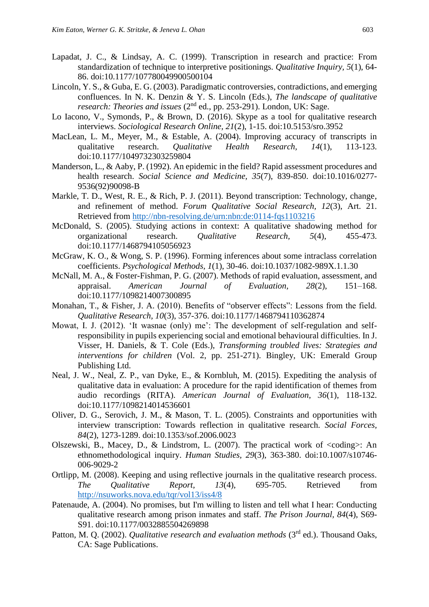- Lapadat, J. C., & Lindsay, A. C. (1999). Transcription in research and practice: From standardization of technique to interpretive positionings. *Qualitative Inquiry, 5*(1), 64- 86. doi:10.1177/107780049900500104
- Lincoln, Y. S., & Guba, E. G. (2003). Paradigmatic controversies, contradictions, and emerging confluences. In N. K. Denzin & Y. S. Lincoln (Eds.), *The landscape of qualitative research: Theories and issues* (2<sup>nd</sup> ed., pp. 253-291). London, UK: Sage.
- Lo Iacono, V., Symonds, P., & Brown, D. (2016). Skype as a tool for qualitative research interviews. *Sociological Research Online, 21*(2), 1-15. doi:10.5153/sro.3952
- MacLean, L. M., Meyer, M., & Estable, A. (2004). Improving accuracy of transcripts in qualitative research. *Qualitative Health Research, 14*(1), 113-123. doi:10.1177/1049732303259804
- Manderson, L., & Aaby, P. (1992). An epidemic in the field? Rapid assessment procedures and health research. *Social Science and Medicine, 35*(7), 839-850. doi:10.1016/0277- 9536(92)90098-B
- Markle, T. D., West, R. E., & Rich, P. J. (2011). Beyond transcription: Technology, change, and refinement of method. *Forum Qualitative Social Research, 12*(3), Art. 21. Retrieved from<http://nbn-resolving.de/urn:nbn:de:0114-fqs1103216>
- McDonald, S. (2005). Studying actions in context: A qualitative shadowing method for organizational research. *Qualitative Research, 5*(4), 455-473. doi:10.1177/1468794105056923
- McGraw, K. O., & Wong, S. P. (1996). Forming inferences about some intraclass correlation coefficients. *Psychological Methods, 1*(1), 30-46. doi:10.1037/1082-989X.1.1.30
- McNall, M. A., & Foster-Fishman, P. G. (2007). Methods of rapid evaluation, assessment, and appraisal. *American Journal of Evaluation, 28*(2), 151–168. doi:10.1177/1098214007300895
- Monahan, T., & Fisher, J. A. (2010). Benefits of "observer effects": Lessons from the field. *Qualitative Research, 10*(3), 357-376. doi:10.1177/1468794110362874
- Mowat, I. J. (2012). 'It wasnae (only) me': The development of self-regulation and selfresponsibility in pupils experiencing social and emotional behavioural difficulties. In J. Visser, H. Daniels, & T. Cole (Eds.), *Transforming troubled lives: Strategies and interventions for children* (Vol. 2, pp. 251-271). Bingley, UK: Emerald Group Publishing Ltd.
- Neal, J. W., Neal, Z. P., van Dyke, E., & Kornbluh, M. (2015). Expediting the analysis of qualitative data in evaluation: A procedure for the rapid identification of themes from audio recordings (RITA). *American Journal of Evaluation, 36*(1), 118-132. doi:10.1177/1098214014536601
- Oliver, D. G., Serovich, J. M., & Mason, T. L. (2005). Constraints and opportunities with interview transcription: Towards reflection in qualitative research. *Social Forces, 84*(2), 1273-1289. doi:10.1353/sof.2006.0023
- Olszewski, B., Macey, D., & Lindstrom, L. (2007). The practical work of <coding>: An ethnomethodological inquiry. *Human Studies, 29*(3), 363-380. doi:10.1007/s10746- 006-9029-2
- Ortlipp, M. (2008). Keeping and using reflective journals in the qualitative research process. *The Qualitative Report, 13*(4), 695-705. Retrieved from <http://nsuworks.nova.edu/tqr/vol13/iss4/8>
- Patenaude, A. (2004). No promises, but I'm willing to listen and tell what I hear: Conducting qualitative research among prison inmates and staff. *The Prison Journal, 84*(4), S69- S91. doi:10.1177/0032885504269898
- Patton, M. Q. (2002). *Qualitative research and evaluation methods* (3<sup>rd</sup> ed.). Thousand Oaks, CA: Sage Publications.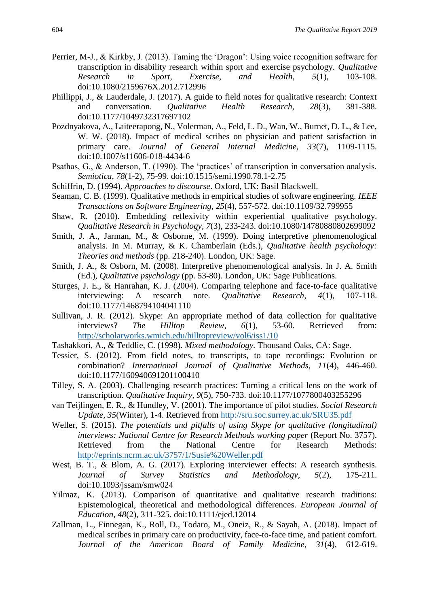- Perrier, M-J., & Kirkby, J. (2013). Taming the 'Dragon': Using voice recognition software for transcription in disability research within sport and exercise psychology. *Qualitative Research in Sport, Exercise, and Health, 5*(1), 103-108. doi:10.1080/2159676X.2012.712996
- Phillippi, J., & Lauderdale, J. (2017). A guide to field notes for qualitative research: Context and conversation. *Qualitative Health Research, 28*(3), 381-388. doi:10.1177/1049732317697102
- Pozdnyakova, A., Laiteerapong, N., Volerman, A., Feld, L. D., Wan, W., Burnet, D. L., & Lee, W. W. (2018). Impact of medical scribes on physician and patient satisfaction in primary care. *Journal of General Internal Medicine, 33*(7), 1109-1115. doi:10.1007/s11606-018-4434-6
- Psathas, G., & Anderson, T. (1990). The 'practices' of transcription in conversation analysis. *Semiotica, 78*(1-2), 75-99. doi:10.1515/semi.1990.78.1-2.75
- Schiffrin, D. (1994). *Approaches to discourse*. Oxford, UK: Basil Blackwell.
- Seaman, C. B. (1999). Qualitative methods in empirical studies of software engineering. *IEEE Transactions on Software Engineering, 25*(4), 557-572. doi:10.1109/32.799955
- Shaw, R. (2010). Embedding reflexivity within experiential qualitative psychology. *Qualitative Research in Psychology, 7*(3), 233-243. doi:10.1080/14780880802699092
- Smith, J. A., Jarman, M., & Osborne, M. (1999). Doing interpretive phenomenological analysis. In M. Murray, & K. Chamberlain (Eds.), *Qualitative health psychology: Theories and methods* (pp. 218-240). London, UK: Sage.
- Smith, J. A., & Osborn, M. (2008). Interpretive phenomenological analysis. In J. A. Smith (Ed.), *Qualitative psychology* (pp. 53-80). London, UK: Sage Publications.
- Sturges, J. E., & Hanrahan, K. J. (2004). Comparing telephone and face-to-face qualitative interviewing: A research note. *Qualitative Research, 4*(1), 107-118. doi:10.1177/1468794104041110
- Sullivan, J. R. (2012). Skype: An appropriate method of data collection for qualitative interviews? *The Hilltop Review, 6*(1), 53-60. Retrieved from: <http://scholarworks.wmich.edu/hilltopreview/vol6/iss1/10>
- Tashakkori, A., & Teddlie, C. (1998). *Mixed methodology.* Thousand Oaks, CA: Sage.
- Tessier, S. (2012). From field notes, to transcripts, to tape recordings: Evolution or combination? *International Journal of Qualitative Methods, 11*(4), 446-460. doi:10.1177/160940691201100410
- Tilley, S. A. (2003). Challenging research practices: Turning a critical lens on the work of transcription. *Qualitative Inquiry, 9*(5), 750-733. doi:10.1177/1077800403255296
- van Teijlingen, E. R., & Hundley, V. (2001). The importance of pilot studies. *Social Research Update, 35*(Winter), 1-4. Retrieved from<http://sru.soc.surrey.ac.uk/SRU35.pdf>
- Weller, S. (2015). *The potentials and pitfalls of using Skype for qualitative (longitudinal) interviews: National Centre for Research Methods working paper* (Report No. 3757). Retrieved from the National Centre for Research Methods: <http://eprints.ncrm.ac.uk/3757/1/Susie%20Weller.pdf>
- West, B. T., & Blom, A. G. (2017). Exploring interviewer effects: A research synthesis. *Journal of Survey Statistics and Methodology, 5*(2), 175-211. doi:10.1093/jssam/smw024
- Yilmaz, K. (2013). Comparison of quantitative and qualitative research traditions: Epistemological, theoretical and methodological differences. *European Journal of Education, 48*(2), 311-325. doi:10.1111/ejed.12014
- Zallman, L., Finnegan, K., Roll, D., Todaro, M., Oneiz, R., & Sayah, A. (2018). Impact of medical scribes in primary care on productivity, face-to-face time, and patient comfort. *Journal of the American Board of Family Medicine, 31*(4), 612-619.